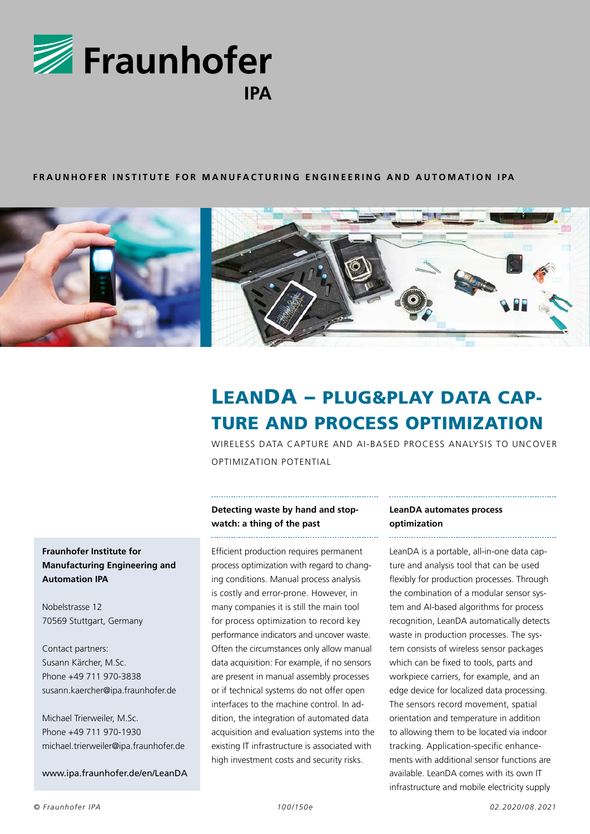

#### **FRAUNHOFER INSTITUTE FOR MANUFACTURING ENGINEERING AND AUTOMATION IPA**



# LEANDA – PLUG&PLAY DATA CAP-TURE AND PROCESS OPTIMIZATION

WIRELESS DATA CAPTURE AND AI-BASED PROCESS ANALYSIS TO UNCOVER OPTIMIZATION POTENTIAL

# **Fraunhofer Institute for Manufacturing Engineering and Automation IPA**

Nobelstrasse 12 70569 Stuttgart, Germany

Contact partners: Susann Kärcher, M.Sc. Phone +49 711 970-3838 susann.kaercher@ipa.fraunhofer.de

Michael Trierweiler, M.Sc. Phone +49 711 970-1930 michael.trierweiler@ipa.fraunhofer.de

www.ipa.fraunhofer.de/en/LeanDA

## **Detecting waste by hand and stopwatch: a thing of the past**

Efficient production requires permanent process optimization with regard to changing conditions. Manual process analysis is costly and error-prone. However, in many companies it is still the main tool for process optimization to record key performance indicators and uncover waste. Often the circumstances only allow manual data acquisition: For example, if no sensors are present in manual assembly processes or if technical systems do not offer open interfaces to the machine control. In addition, the integration of automated data acquisition and evaluation systems into the existing IT infrastructure is associated with high investment costs and security risks.

### **LeanDA automates process optimization**

LeanDA is a portable, all-in-one data capture and analysis tool that can be used flexibly for production processes. Through the combination of a modular sensor system and AI-based algorithms for process recognition, LeanDA automatically detects waste in production processes. The system consists of wireless sensor packages which can be fixed to tools, parts and workpiece carriers, for example, and an edge device for localized data processing. The sensors record movement, spatial orientation and temperature in addition to allowing them to be located via indoor tracking. Application-specific enhancements with additional sensor functions are available. LeanDA comes with its own IT infrastructure and mobile electricity supply